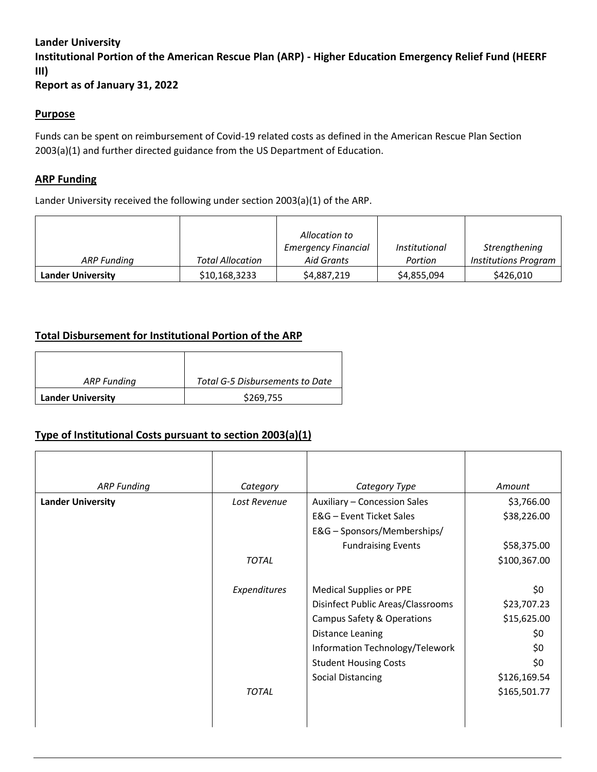### **Lander University**

**Institutional Portion of the American Rescue Plan (ARP) - Higher Education Emergency Relief Fund (HEERF III)**

**Report as of January 31, 2022**

#### **Purpose**

Funds can be spent on reimbursement of Covid-19 related costs as defined in the American Rescue Plan Section 2003(a)(1) and further directed guidance from the US Department of Education.

#### **ARP Funding**

Lander University received the following under section 2003(a)(1) of the ARP.

|                          |                         | Allocation to              |                      |                             |
|--------------------------|-------------------------|----------------------------|----------------------|-----------------------------|
|                          |                         | <b>Emergency Financial</b> | <i>Institutional</i> | Strengthening               |
| ARP Funding              | <b>Total Allocation</b> | Aid Grants                 | Portion              | <b>Institutions Program</b> |
| <b>Lander University</b> | \$10,168,3233           | \$4,887,219                | \$4,855,094          | \$426,010                   |

## **Total Disbursement for Institutional Portion of the ARP**

| ARP Funding              | Total G-5 Disbursements to Date |  |
|--------------------------|---------------------------------|--|
| <b>Lander University</b> | \$269,755                       |  |

## **Type of Institutional Costs pursuant to section 2003(a)(1)**

| <b>ARP Funding</b>       | Category     | Category Type                     | Amount       |
|--------------------------|--------------|-----------------------------------|--------------|
| <b>Lander University</b> | Lost Revenue | Auxiliary - Concession Sales      | \$3,766.00   |
|                          |              | E&G - Event Ticket Sales          | \$38,226.00  |
|                          |              | E&G - Sponsors/Memberships/       |              |
|                          |              | <b>Fundraising Events</b>         | \$58,375.00  |
|                          | <b>TOTAL</b> |                                   | \$100,367.00 |
|                          |              |                                   |              |
|                          | Expenditures | <b>Medical Supplies or PPE</b>    | \$0          |
|                          |              | Disinfect Public Areas/Classrooms | \$23,707.23  |
|                          |              | Campus Safety & Operations        | \$15,625.00  |
|                          |              | Distance Leaning                  | \$0          |
|                          |              | Information Technology/Telework   | \$0          |
|                          |              | <b>Student Housing Costs</b>      | \$0          |
|                          |              | <b>Social Distancing</b>          | \$126,169.54 |
|                          | <b>TOTAL</b> |                                   | \$165,501.77 |
|                          |              |                                   |              |
|                          |              |                                   |              |